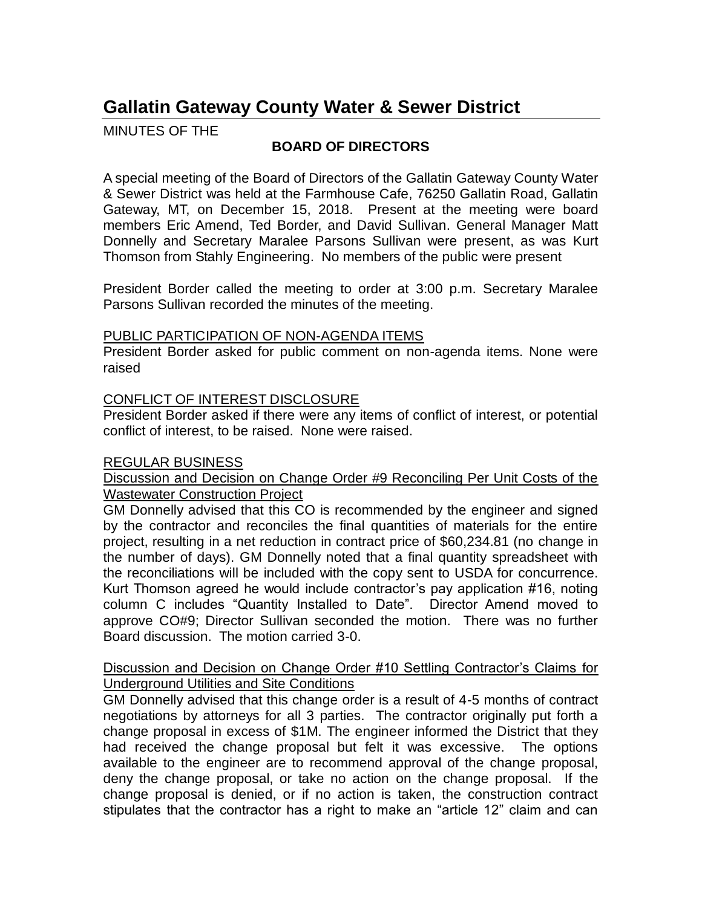# **Gallatin Gateway County Water & Sewer District**

MINUTES OF THE

# **BOARD OF DIRECTORS**

A special meeting of the Board of Directors of the Gallatin Gateway County Water & Sewer District was held at the Farmhouse Cafe, 76250 Gallatin Road, Gallatin Gateway, MT, on December 15, 2018. Present at the meeting were board members Eric Amend, Ted Border, and David Sullivan. General Manager Matt Donnelly and Secretary Maralee Parsons Sullivan were present, as was Kurt Thomson from Stahly Engineering. No members of the public were present

President Border called the meeting to order at 3:00 p.m. Secretary Maralee Parsons Sullivan recorded the minutes of the meeting.

### PUBLIC PARTICIPATION OF NON-AGENDA ITEMS

President Border asked for public comment on non-agenda items. None were raised

# CONFLICT OF INTEREST DISCLOSURE

President Border asked if there were any items of conflict of interest, or potential conflict of interest, to be raised. None were raised.

# REGULAR BUSINESS

Discussion and Decision on Change Order #9 Reconciling Per Unit Costs of the Wastewater Construction Project

GM Donnelly advised that this CO is recommended by the engineer and signed by the contractor and reconciles the final quantities of materials for the entire project, resulting in a net reduction in contract price of \$60,234.81 (no change in the number of days). GM Donnelly noted that a final quantity spreadsheet with the reconciliations will be included with the copy sent to USDA for concurrence. Kurt Thomson agreed he would include contractor's pay application #16, noting column C includes "Quantity Installed to Date". Director Amend moved to approve CO#9; Director Sullivan seconded the motion. There was no further Board discussion. The motion carried 3-0.

### Discussion and Decision on Change Order #10 Settling Contractor's Claims for Underground Utilities and Site Conditions

GM Donnelly advised that this change order is a result of 4-5 months of contract negotiations by attorneys for all 3 parties. The contractor originally put forth a change proposal in excess of \$1M. The engineer informed the District that they had received the change proposal but felt it was excessive. The options available to the engineer are to recommend approval of the change proposal, deny the change proposal, or take no action on the change proposal. If the change proposal is denied, or if no action is taken, the construction contract stipulates that the contractor has a right to make an "article 12" claim and can